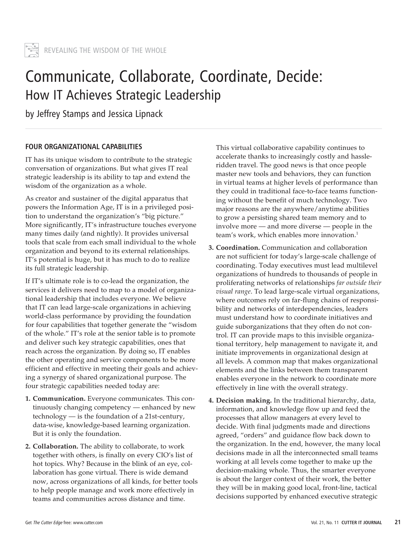

# Communicate, Collaborate, Coordinate, Decide: How IT Achieves Strategic Leadership

by Jeffrey Stamps and Jessica Lipnack

# **FOUR ORGANIZATIONAL CAPABILITIES**

IT has its unique wisdom to contribute to the strategic conversation of organizations. But what gives IT real strategic leadership is its ability to tap and extend the wisdom of the organization as a whole.

As creator and sustainer of the digital apparatus that powers the Information Age, IT is in a privileged position to understand the organization's "big picture." More significantly, IT's infrastructure touches everyone many times daily (and nightly). It provides universal tools that scale from each small individual to the whole organization and beyond to its external relationships. IT's potential is huge, but it has much to do to realize its full strategic leadership.

If IT's ultimate role is to co-lead the organization, the services it delivers need to map to a model of organizational leadership that includes everyone. We believe that IT can lead large-scale organizations in achieving world-class performance by providing the foundation for four capabilities that together generate the "wisdom of the whole." IT's role at the senior table is to promote and deliver such key strategic capabilities, ones that reach across the organization. By doing so, IT enables the other operating and service components to be more efficient and effective in meeting their goals and achieving a synergy of shared organizational purpose. The four strategic capabilities needed today are:

- **1. Communication.** Everyone communicates. This continuously changing competency — enhanced by new technology — is the foundation of a 21st-century, data-wise, knowledge-based learning organization. But it is only the foundation.
- **2. Collaboration.** The ability to collaborate, to work together with others, is finally on every CIO's list of hot topics. Why? Because in the blink of an eye, collaboration has gone virtual. There is wide demand now, across organizations of all kinds, for better tools to help people manage and work more effectively in teams and communities across distance and time.

This virtual collaborative capability continues to accelerate thanks to increasingly costly and hassleridden travel. The good news is that once people master new tools and behaviors, they can function in virtual teams at higher levels of performance than they could in traditional face-to-face teams functioning without the benefit of much technology. Two major reasons are the anywhere/anytime abilities to grow a persisting shared team memory and to involve more — and more diverse — people in the team's work, which enables more innovation.<sup>1</sup>

- **3. Coordination.** Communication and collaboration are not sufficient for today's large-scale challenge of coordinating. Today executives must lead multilevel organizations of hundreds to thousands of people in proliferating networks of relationships *far outside their visual range*. To lead large-scale virtual organizations, where outcomes rely on far-flung chains of responsibility and networks of interdependencies, leaders must understand how to coordinate initiatives and guide suborganizations that they often do not control. IT can provide maps to this invisible organizational territory, help management to navigate it, and initiate improvements in organizational design at all levels. A common map that makes organizational elements and the links between them transparent enables everyone in the network to coordinate more effectively in line with the overall strategy.
- **4. Decision making.** In the traditional hierarchy, data, information, and knowledge flow up and feed the processes that allow managers at every level to decide. With final judgments made and directions agreed, "orders" and guidance flow back down to the organization. In the end, however, the many local decisions made in all the interconnected small teams working at all levels come together to make up the decision-making whole. Thus, the smarter everyone is about the larger context of their work, the better they will be in making good local, front-line, tactical decisions supported by enhanced executive strategic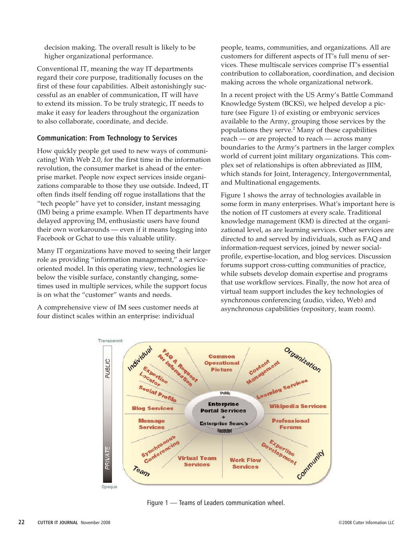decision making. The overall result is likely to be higher organizational performance.

Conventional IT, meaning the way IT departments regard their core purpose, traditionally focuses on the first of these four capabilities. Albeit astonishingly successful as an enabler of communication, IT will have to extend its mission. To be truly strategic, IT needs to make it easy for leaders throughout the organization to also collaborate, coordinate, and decide.

## **Communication: From Technology to Services**

How quickly people get used to new ways of communicating! With Web 2.0, for the first time in the information revolution, the consumer market is ahead of the enterprise market. People now expect services inside organizations comparable to those they use outside. Indeed, IT often finds itself fending off rogue installations that the "tech people" have yet to consider, instant messaging (IM) being a prime example. When IT departments have delayed approving IM, enthusiastic users have found their own workarounds — even if it means logging into Facebook or Gchat to use this valuable utility.

Many IT organizations have moved to seeing their larger role as providing "information management," a serviceoriented model. In this operating view, technologies lie below the visible surface, constantly changing, sometimes used in multiple services, while the support focus is on what the "customer" wants and needs.

A comprehensive view of IM sees customer needs at four distinct scales within an enterprise: individual

people, teams, communities, and organizations. All are customers for different aspects of IT's full menu of services. These multiscale services comprise IT's essential contribution to collaboration, coordination, and decision making across the whole organizational network.

In a recent project with the US Army's Battle Command Knowledge System (BCKS), we helped develop a picture (see Figure 1) of existing or embryonic services available to the Army, grouping those services by the populations they serve.<sup>2</sup> Many of these capabilities reach — or are projected to reach — across many boundaries to the Army's partners in the larger complex world of current joint military organizations. This complex set of relationships is often abbreviated as JIIM, which stands for Joint, Interagency, Intergovernmental, and Multinational engagements.

Figure 1 shows the array of technologies available in some form in many enterprises. What's important here is the notion of IT customers at every scale. Traditional knowledge management (KM) is directed at the organizational level, as are learning services. Other services are directed to and served by individuals, such as FAQ and information-request services, joined by newer socialprofile, expertise-location, and blog services. Discussion forums support cross-cutting communities of practice, while subsets develop domain expertise and programs that use workflow services. Finally, the now hot area of virtual team support includes the key technologies of synchronous conferencing (audio, video, Web) and asynchronous capabilities (repository, team room).



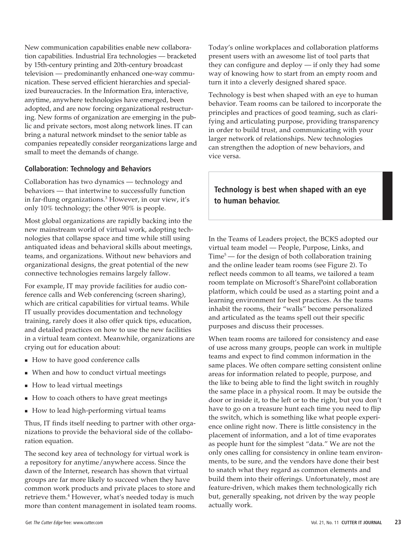New communication capabilities enable new collaboration capabilities. Industrial Era technologies — bracketed by 15th-century printing and 20th-century broadcast television — predominantly enhanced one-way communication. These served efficient hierarchies and specialized bureaucracies. In the Information Era, interactive, anytime, anywhere technologies have emerged, been adopted, and are now forcing organizational restructuring. New forms of organization are emerging in the public and private sectors, most along network lines. IT can bring a natural network mindset to the senior table as companies repeatedly consider reorganizations large and small to meet the demands of change.

#### **Collaboration: Technology and Behaviors**

Collaboration has two dynamics — technology and behaviors — that intertwine to successfully function in far-flung organizations.<sup>3</sup> However, in our view, it's only 10% technology; the other 90% is people.

Most global organizations are rapidly backing into the new mainstream world of virtual work, adopting technologies that collapse space and time while still using antiquated ideas and behavioral skills about meetings, teams, and organizations. Without new behaviors and organizational designs, the great potential of the new connective technologies remains largely fallow.

For example, IT may provide facilities for audio conference calls and Web conferencing (screen sharing), which are critical capabilities for virtual teams. While IT usually provides documentation and technology training, rarely does it also offer quick tips, education, and detailed practices on how to use the new facilities in a virtual team context. Meanwhile, organizations are crying out for education about:

- How to have good conference calls
- When and how to conduct virtual meetings
- How to lead virtual meetings
- How to coach others to have great meetings
- How to lead high-performing virtual teams

Thus, IT finds itself needing to partner with other organizations to provide the behavioral side of the collaboration equation.

The second key area of technology for virtual work is a repository for anytime/anywhere access. Since the dawn of the Internet, research has shown that virtual groups are far more likely to succeed when they have common work products and private places to store and retrieve them.<sup>4</sup> However, what's needed today is much more than content management in isolated team rooms. Today's online workplaces and collaboration platforms present users with an awesome list of tool parts that they can configure and deploy — if only they had some way of knowing how to start from an empty room and turn it into a cleverly designed shared space.

Technology is best when shaped with an eye to human behavior. Team rooms can be tailored to incorporate the principles and practices of good teaming, such as clarifying and articulating purpose, providing transparency in order to build trust, and communicating with your larger network of relationships. New technologies can strengthen the adoption of new behaviors, and vice versa.

# **Technology is best when shaped with an eye to human behavior.**

In the Teams of Leaders project, the BCKS adopted our virtual team model — People, Purpose, Links, and  $Time<sup>5</sup>$  — for the design of both collaboration training and the online leader team rooms (see Figure 2). To reflect needs common to all teams, we tailored a team room template on Microsoft's SharePoint collaboration platform, which could be used as a starting point and a learning environment for best practices. As the teams inhabit the rooms, their "walls" become personalized and articulated as the teams spell out their specific purposes and discuss their processes.

When team rooms are tailored for consistency and ease of use across many groups, people can work in multiple teams and expect to find common information in the same places. We often compare setting consistent online areas for information related to people, purpose, and the like to being able to find the light switch in roughly the same place in a physical room. It may be outside the door or inside it, to the left or to the right, but you don't have to go on a treasure hunt each time you need to flip the switch, which is something like what people experience online right now. There is little consistency in the placement of information, and a lot of time evaporates as people hunt for the simplest "data." We are not the only ones calling for consistency in online team environments, to be sure, and the vendors have done their best to snatch what they regard as common elements and build them into their offerings. Unfortunately, most are feature-driven, which makes them technologically rich but, generally speaking, not driven by the way people actually work.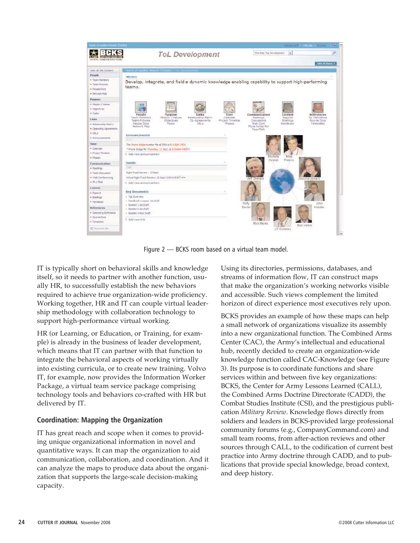| favore of Leaders Ferrari, (GL/WT).                                                                                        | <b>ToL</b> Development                                                                                                                                                                                                             |                                                       | This Stel Toll Development<br>$\sim$                                                                                                  | Welcome perform in the American Indiana (C)<br>m.<br><b>JD</b> |
|----------------------------------------------------------------------------------------------------------------------------|------------------------------------------------------------------------------------------------------------------------------------------------------------------------------------------------------------------------------------|-------------------------------------------------------|---------------------------------------------------------------------------------------------------------------------------------------|----------------------------------------------------------------|
| <b>Chances Communications</b><br><b>DE JORG REGISTER ANNO REINE</b>                                                        |                                                                                                                                                                                                                                    |                                                       |                                                                                                                                       | Site Actions *                                                 |
| Vera All Site Content<br>People<br>· Team Members<br>- Team Pictures<br><b>A Panola Dors</b><br>* Natucci: Map-<br>Purpose | Teams of Leaders Nework (Tochet) = Tot Devel<br>Mission<br>Develop, integrate, and field a dynamic knowledge enabling capability to support high-performing<br>teams.                                                              |                                                       |                                                                                                                                       |                                                                |
| M Mession / Values<br>· Objectives<br>· Tasks<br>Links<br>· Relationship Matrix<br>R Coerating Agreements<br># URLS        | People<br>Links<br>Purpose<br>Team Members<br>Mission / Values<br>Relationship Matrix<br><b>Team Pictures</b><br><b>Objectives</b><br>Co Agreements<br>Peable Doce<br><b>Tacles</b><br><b>EBEX</b><br>Nebwork Man<br>Announcements | Time<br>Calendar<br>Project Timeline<br><b>Phases</b> | Communication<br>Content<br>Meetings<br>Reports<br>Discussions<br>Briefings<br>Web Card<br>Naruthunda<br>Place holder for<br>TeamTalk | References<br>On Definitions<br>Source Docs<br>Tennolates      |
| · Announcements<br><b>Time</b><br>* Calendar<br>· Protect Timeline<br>a Dhasae                                             | 11.1<br>The Phone Bridge number for all IPRs is 913-684-7404<br>* Phone Bridge for Thursday, 11 Sept., is 913-684-7405/11<br>E Add new announcement                                                                                |                                                       | Michelle<br>Milke                                                                                                                     |                                                                |
| Communication<br><b>All Afgainings</b><br>· Team Discussion<br>· Web Conferencing<br>$= 294$ J Chat                        | Fuente<br>Title.<br>Right Trads Review : 17 Sept<br>Virtual Right Track Review; 18 Sept. 1330-01530 Tress<br>E Add new announcement                                                                                                | leff-Stamps                                           | Hannah<br>Parvou                                                                                                                      | Jessica Lionaci                                                |
| Content<br>· Richield<br>* Briefings<br>· Handbook<br>References<br>· Operating Definitoris                                | <b>Key Documents</b><br># ToL Diverview<br>= Handbook wrapper lat draft<br>a Booklet 1 tst Draft<br>» Booklet 2: 1st draft<br>o Booklet 3 Fost Draft                                                                               | H6By<br>Baxter                                        |                                                                                                                                       | John<br>Kessler                                                |
| - Source Ooca<br><b>H</b> Templates<br>W. Recycle liin                                                                     | III Add new link                                                                                                                                                                                                                   |                                                       | Rick Morris<br>JR Growney                                                                                                             | Bob Veitch                                                     |

Figure 2 — BCKS room based on a virtual team model.

IT is typically short on behavioral skills and knowledge itself, so it needs to partner with another function, usually HR, to successfully establish the new behaviors required to achieve true organization-wide proficiency. Working together, HR and IT can couple virtual leadership methodology with collaboration technology to support high-performance virtual working.

HR (or Learning, or Education, or Training, for example) is already in the business of leader development, which means that IT can partner with that function to integrate the behavioral aspects of working virtually into existing curricula, or to create new training. Volvo IT, for example, now provides the Information Worker Package, a virtual team service package comprising technology tools and behaviors co-crafted with HR but delivered by IT.

# **Coordination: Mapping the Organization**

IT has great reach and scope when it comes to providing unique organizational information in novel and quantitative ways. It can map the organization to aid communication, collaboration, and coordination. And it can analyze the maps to produce data about the organization that supports the large-scale decision-making capacity.

Using its directories, permissions, databases, and streams of information flow, IT can construct maps that make the organization's working networks visible and accessible. Such views complement the limited horizon of direct experience most executives rely upon.

BCKS provides an example of how these maps can help a small network of organizations visualize its assembly into a new organizational function. The Combined Arms Center (CAC), the Army's intellectual and educational hub, recently decided to create an organization-wide knowledge function called CAC-Knowledge (see Figure 3). Its purpose is to coordinate functions and share services within and between five key organizations: BCKS, the Center for Army Lessons Learned (CALL), the Combined Arms Doctrine Directorate (CADD), the Combat Studies Institute (CSI), and the prestigious publication *Military Review*. Knowledge flows directly from soldiers and leaders in BCKS-provided large professional community forums (e.g., CompanyCommand.com) and small team rooms, from after-action reviews and other sources through CALL, to the codification of current best practice into Army doctrine through CADD, and to publications that provide special knowledge, broad context, and deep history.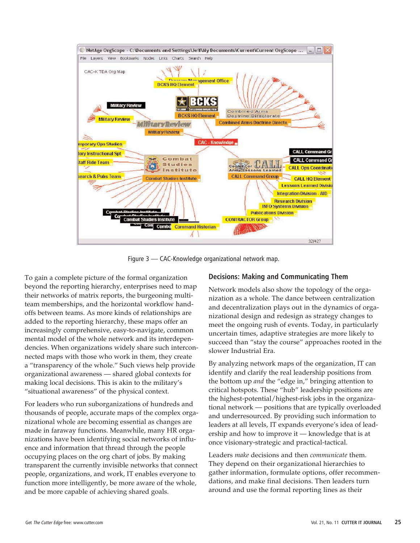

Figure 3 — CAC-Knowledge organizational network map.

To gain a complete picture of the formal organization beyond the reporting hierarchy, enterprises need to map their networks of matrix reports, the burgeoning multiteam memberships, and the horizontal workflow handoffs between teams. As more kinds of relationships are added to the reporting hierarchy, these maps offer an increasingly comprehensive, easy-to-navigate, common mental model of the whole network and its interdependencies. When organizations widely share such interconnected maps with those who work in them, they create a "transparency of the whole." Such views help provide organizational awareness — shared global contexts for making local decisions. This is akin to the military's "situational awareness" of the physical context.

For leaders who run suborganizations of hundreds and thousands of people, accurate maps of the complex organizational whole are becoming essential as changes are made in faraway functions. Meanwhile, many HR organizations have been identifying social networks of influence and information that thread through the people occupying places on the org chart of jobs. By making transparent the currently invisible networks that connect people, organizations, and work, IT enables everyone to function more intelligently, be more aware of the whole, and be more capable of achieving shared goals.

#### **Decisions: Making and Communicating Them**

Network models also show the topology of the organization as a whole. The dance between centralization and decentralization plays out in the dynamics of organizational design and redesign as strategy changes to meet the ongoing rush of events. Today, in particularly uncertain times, adaptive strategies are more likely to succeed than "stay the course" approaches rooted in the slower Industrial Era.

By analyzing network maps of the organization, IT can identify and clarify the real leadership positions from the bottom up *and* the "edge in," bringing attention to critical hotspots. These "hub" leadership positions are the highest-potential/highest-risk jobs in the organizational network — positions that are typically overloaded and underresourced. By providing such information to leaders at all levels, IT expands everyone's idea of leadership and how to improve it — knowledge that is at once visionary-strategic and practical-tactical.

Leaders *make* decisions and then *communicate* them. They depend on their organizational hierarchies to gather information, formulate options, offer recommendations, and make final decisions. Then leaders turn around and use the formal reporting lines as their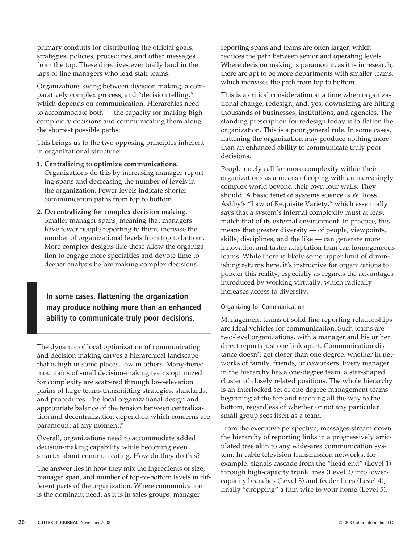primary conduits for distributing the official goals, strategies, policies, procedures, and other messages from the top. These directives eventually land in the laps of line managers who lead staff teams.

Organizations swing between decision making, a comparatively complex process, and "decision telling," which depends on communication. Hierarchies need to accommodate both — the capacity for making highcomplexity decisions and communicating them along the shortest possible paths.

This brings us to the two opposing principles inherent in organizational structure:

**1. Centralizing to optimize communications.** Organizations do this by increasing manager reporting spans and decreasing the number of levels in the organization. Fewer levels indicate shorter

communication paths from top to bottom.

**2. Decentralizing for complex decision making.** Smaller manager spans, meaning that managers have fewer people reporting to them, increase the number of organizational levels from top to bottom. More complex designs like these allow the organization to engage more specialties and devote time to deeper analysis before making complex decisions.

**In some cases, flattening the organization may produce nothing more than an enhanced ability to communicate truly poor decisions.** 

The dynamic of local optimization of communicating and decision making carves a hierarchical landscape that is high in some places, low in others. Many-tiered mountains of small decision-making teams optimized for complexity are scattered through low-elevation plains of large teams transmitting strategies, standards, and procedures. The local organizational design and appropriate balance of the tension between centralization and decentralization depend on which concerns are paramount at any moment.<sup>6</sup>

Overall, organizations need to accommodate added decision-making capability while becoming even smarter about communicating. How do they do this?

The answer lies in how they mix the ingredients of size, manager span, and number of top-to-bottom levels in different parts of the organization. Where communication is the dominant need, as it is in sales groups, manager

reporting spans and teams are often larger, which reduces the path between senior and operating levels. Where decision making is paramount, as it is in research, there are apt to be more departments with smaller teams, which increases the path from top to bottom.

This is a critical consideration at a time when organizational change, redesign, and, yes, downsizing are hitting thousands of businesses, institutions, and agencies. The standing prescription for redesign today is to flatten the organization. This is a poor general rule. In some cases, flattening the organization may produce nothing more than an enhanced ability to communicate truly poor decisions.

People rarely call for more complexity within their organizations as a means of coping with an increasingly complex world beyond their own four walls. They should. A basic tenet of systems science is W. Ross Ashby's "Law of Requisite Variety," which essentially says that a system's internal complexity must at least match that of its external environment. In practice, this means that greater diversity — of people, viewpoints, skills, disciplines, and the like — can generate more innovation and faster adaptation than can homogeneous teams. While there is likely some upper limit of diminishing returns here, it's instructive for organizations to ponder this reality, especially as regards the advantages introduced by working virtually, which radically increases access to diversity.

# Organizing for Communication

Management teams of solid-line reporting relationships are ideal vehicles for communication. Such teams are two-level organizations, with a manager and his or her direct reports just one link apart. Communication distance doesn't get closer than one degree, whether in networks of family, friends, or coworkers. Every manager in the hierarchy has a one-degree team, a star-shaped cluster of closely related positions. The whole hierarchy is an interlocked set of one-degree management teams beginning at the top and reaching all the way to the bottom, regardless of whether or not any particular small group sees itself as a team.

From the executive perspective, messages stream down the hierarchy of reporting links in a progressively articulated tree akin to any wide-area communication system. In cable television transmission networks, for example, signals cascade from the "head end" (Level 1) through high-capacity trunk lines (Level 2) into lowercapacity branches (Level 3) and feeder lines (Level 4), finally "dropping" a thin wire to your home (Level 5).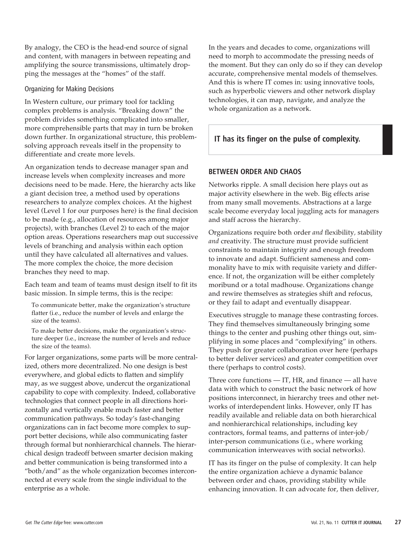By analogy, the CEO is the head-end source of signal and content, with managers in between repeating and amplifying the source transmissions, ultimately dropping the messages at the "homes" of the staff.

#### Organizing for Making Decisions

In Western culture, our primary tool for tackling complex problems is analysis. "Breaking down" the problem divides something complicated into smaller, more comprehensible parts that may in turn be broken down further. In organizational structure, this problemsolving approach reveals itself in the propensity to differentiate and create more levels.

An organization tends to decrease manager span and increase levels when complexity increases and more decisions need to be made. Here, the hierarchy acts like a giant decision tree, a method used by operations researchers to analyze complex choices. At the highest level (Level 1 for our purposes here) is the final decision to be made (e.g., allocation of resources among major projects), with branches (Level 2) to each of the major option areas. Operations researchers map out successive levels of branching and analysis within each option until they have calculated all alternatives and values. The more complex the choice, the more decision branches they need to map.

Each team and team of teams must design itself to fit its basic mission. In simple terms, this is the recipe:

To communicate better, make the organization's structure flatter (i.e., reduce the number of levels and enlarge the size of the teams).

To make better decisions, make the organization's structure deeper (i.e., increase the number of levels and reduce the size of the teams).

For larger organizations, some parts will be more centralized, others more decentralized. No one design is best everywhere, and global edicts to flatten and simplify may, as we suggest above, undercut the organizational capability to cope with complexity. Indeed, collaborative technologies that connect people in all directions horizontally and vertically enable much faster and better communication pathways. So today's fast-changing organizations can in fact become more complex to support better decisions, while also communicating faster through formal but nonhierarchical channels. The hierarchical design tradeoff between smarter decision making and better communication is being transformed into a "both/and" as the whole organization becomes interconnected at every scale from the single individual to the enterprise as a whole.

In the years and decades to come, organizations will need to morph to accommodate the pressing needs of the moment. But they can only do so if they can develop accurate, comprehensive mental models of themselves. And this is where IT comes in: using innovative tools, such as hyperbolic viewers and other network display technologies, it can map, navigate, and analyze the whole organization as a network.

# **IT has its finger on the pulse of complexity.**

## **BETWEEN ORDER AND CHAOS**

Networks ripple. A small decision here plays out as major activity elsewhere in the web. Big effects arise from many small movements. Abstractions at a large scale become everyday local juggling acts for managers and staff across the hierarchy.

Organizations require both order *and* flexibility*,* stability *and* creativity. The structure must provide sufficient constraints to maintain integrity and enough freedom to innovate and adapt. Sufficient sameness and commonality have to mix with requisite variety and difference. If not, the organization will be either completely moribund or a total madhouse. Organizations change and rewire themselves as strategies shift and refocus, or they fail to adapt and eventually disappear.

Executives struggle to manage these contrasting forces. They find themselves simultaneously bringing some things to the center and pushing other things out, simplifying in some places and "complexifying" in others. They push for greater collaboration over here (perhaps to better deliver services) and greater competition over there (perhaps to control costs).

Three core functions — IT, HR, and finance — all have data with which to construct the basic network of how positions interconnect, in hierarchy trees and other networks of interdependent links. However, only IT has readily available and reliable data on both hierarchical and nonhierarchical relationships, including key contractors, formal teams, and patterns of inter-job/ inter-person communications (i.e., where working communication interweaves with social networks).

IT has its finger on the pulse of complexity. It can help the entire organization achieve a dynamic balance between order and chaos, providing stability while enhancing innovation. It can advocate for, then deliver,